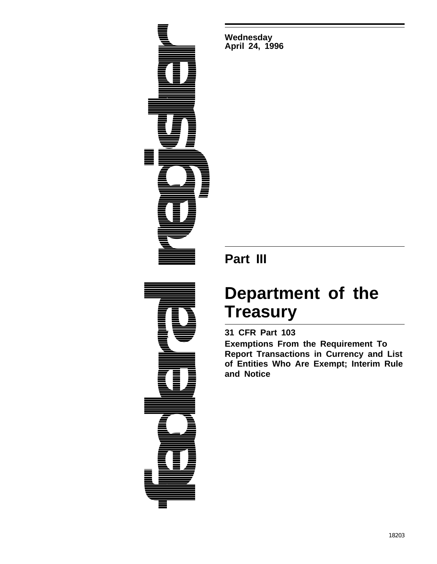**federal federal True Register** 

**Wednesday April 24, 1996**

## **Part III**

# **Department of the Treasury**

### **31 CFR Part 103**

**Exemptions From the Requirement To Report Transactions in Currency and List of Entities Who Are Exempt; Interim Rule and Notice**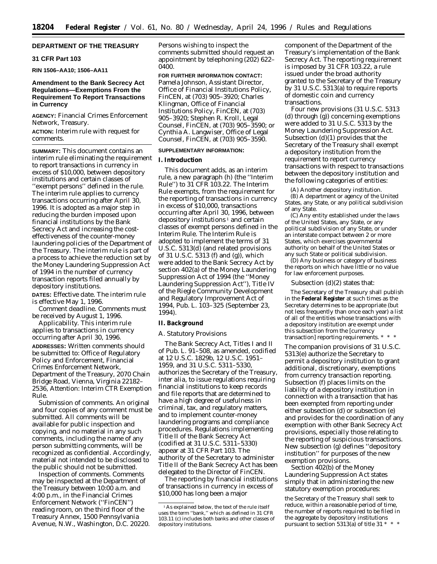#### **DEPARTMENT OF THE TREASURY**

#### **31 CFR Part 103**

**RIN 1506–AA10; 1506–AA11**

#### **Amendment to the Bank Secrecy Act Regulations—Exemptions From the Requirement To Report Transactions in Currency**

**AGENCY:** Financial Crimes Enforcement Network, Treasury.

**ACTION:** Interim rule with request for comments.

**SUMMARY:** This document contains an interim rule eliminating the requirement to report transactions in currency in excess of \$10,000, between depository institutions and certain classes of ''exempt persons'' defined in the rule. The interim rule applies to currency transactions occurring after April 30, 1996. It is adopted as a major step in reducing the burden imposed upon financial institutions by the Bank Secrecy Act and increasing the costeffectiveness of the counter-money laundering policies of the Department of the Treasury. The interim rule is part of a process to achieve the reduction set by the Money Laundering Suppression Act of 1994 in the number of currency transaction reports filed annually by depository institutions.

**DATES:** *Effective date.* The interim rule is effective May 1, 1996.

*Comment deadline.* Comments must be received by August 1, 1996.

*Applicability.* This interim rule applies to transactions in currency occurring after April 30, 1996.

**ADDRESSES:** Written comments should be submitted to: Office of Regulatory Policy and Enforcement, Financial Crimes Enforcement Network, Department of the Treasury, 2070 Chain Bridge Road, Vienna, Virginia 22182– 2536, *Attention:* Interim CTR Exemption Rule.

*Submission of comments.* An original and four copies of any comment must be submitted. All comments will be available for public inspection and copying, and no material in any such comments, including the name of any person submitting comments, will be recognized as confidential. Accordingly, material not intended to be disclosed to the public should not be submitted.

*Inspection of comments.* Comments may be inspected at the Department of the Treasury between 10:00 a.m. and 4:00 p.m., in the Financial Crimes Enforcement Network (''FinCEN'') reading room, on the third floor of the Treasury Annex, 1500 Pennsylvania Avenue, N.W., Washington, D.C. 20220. Persons wishing to inspect the comments submitted should request an appointment by telephoning (202) 622– 0400.

**FOR FURTHER INFORMATION CONTACT:** Pamela Johnson, Assistant Director, Office of Financial Institutions Policy, FinCEN, at (703) 905–3920; Charles Klingman, Office of Financial Institutions Policy, FinCEN, at (703) 905–3920; Stephen R. Kroll, Legal Counsel, FinCEN, at (703) 905–3590; or Cynthia A. Langwiser, Office of Legal Counsel, FinCEN, at (703) 905–3590.

#### **SUPPLEMENTARY INFORMATION:**

#### **I. Introduction**

This document adds, as an interim rule, a new paragraph (h) (the ''Interim Rule'') to 31 CFR 103.22. The Interim Rule exempts, from the requirement for the reporting of transactions in currency in excess of \$10,000, transactions occurring after April 30, 1996, between depository institutions  $\frac{1}{1}$  and certain classes of exempt persons defined in the Interim Rule. The Interim Rule is adopted to implement the terms of 31 U.S.C. 5313(d) (and related provisions of 31 U.S.C. 5313 (f) and (g)), which were added to the Bank Secrecy Act by section 402(a) of the Money Laundering Suppression Act of 1994 (the ''Money Laundering Suppression Act''), Title IV of the Riegle Community Development and Regulatory Improvement Act of 1994, Pub. L. 103–325 (September 23, 1994).

#### **II. Background**

#### *A. Statutory Provisions*

The Bank Secrecy Act, Titles I and II of Pub. L. 91–508, as amended, codified at 12 U.S.C. 1829b, 12 U.S.C. 1951– 1959, and 31 U.S.C. 5311–5330, authorizes the Secretary of the Treasury, *inter alia,* to issue regulations requiring financial institutions to keep records and file reports that are determined to have a high degree of usefulness in criminal, tax, and regulatory matters, and to implement counter-money laundering programs and compliance procedures. Regulations implementing Title II of the Bank Secrecy Act (codified at 31 U.S.C. 5311–5330) appear at 31 CFR Part 103. The authority of the Secretary to administer Title II of the Bank Secrecy Act has been delegated to the Director of FinCEN.

The reporting by financial institutions of transactions in currency in excess of \$10,000 has long been a major

component of the Department of the Treasury's implementation of the Bank Secrecy Act. The reporting requirement is imposed by 31 CFR 103.22, a rule issued under the broad authority granted to the Secretary of the Treasury by 31 U.S.C. 5313(a) to require reports of domestic coin and currency transactions.

Four new provisions (31 U.S.C. 5313 (d) through (g)) concerning exemptions were added to 31 U.S.C. 5313 by the Money Laundering Suppression Act. Subsection (d)(1) provides that the Secretary of the Treasury shall exempt a depository institution from the requirement to report currency transactions with respect to transactions between the depository institution and the following categories of entities:

(A) Another depository institution. (B) A department or agency of the United States, any State, or any political subdivision of any State.

(C) Any entity established under the laws of the United States, any State, or any political subdivision of any State, or under an interstate compact between 2 or more States, which exercises governmental authority on behalf of the United States or any such State or political subdivision.

(D) Any business or category of business the reports on which have little or no value for law enforcement purposes.

Subsection (d)(2) states that:

The Secretary of the Treasury shall publish in the **Federal Register** at such times as the Secretary determines to be appropriate (but not less frequently than once each year) a list of all of the entities whose transactions with a depository institution are exempt under this subsection from the [currency transaction] reporting requirements. \* \* \*

The companion provisions of 31 U.S.C. 5313(e) authorize the Secretary to permit a depository institution to grant additional, discretionary, exemptions from currency transaction reporting. Subsection (f) places limits on the liability of a depository institution in connection with a transaction that has been exempted from reporting under either subsection (d) or subsection (e) and provides for the coordination of any exemption with other Bank Secrecy Act provisions, especially those relating to the reporting of suspicious transactions. New subsection (g) defines ''depository institution'' for purposes of the new exemption provisions.

Section 402(b) of the Money Laundering Suppression Act states simply that in administering the new statutory exemption procedures:

the Secretary of the Treasury shall seek to reduce, within a reasonable period of time, the number of reports required to be filed in the aggregate by depository institutions pursuant to section 5313(a) of title 31 \* \* \*

<sup>1</sup>As explained below, the text of the rule itself uses the term ''bank,'' which as defined in 31 CFR 103.11 (c) includes both banks and other classes of depository institutions.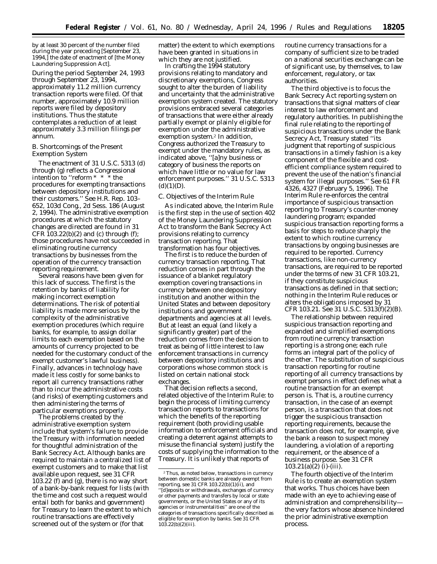by at least 30 percent of the number filed during the year preceding [September 23, 1994,] the date of enactment of [the Money Laundering Suppression Act].

During the period September 24, 1993 through September 23, 1994, approximately 11.2 million currency transaction reports were filed. Of that number, approximately 10.9 million reports were filed by depository institutions. Thus the statute contemplates a reduction of at least approximately 3.3 million filings per annum.

#### *B. Shortcomings of the Present Exemption System*

The enactment of 31 U.S.C. 5313 (d) through (g) reflects a Congressional intention to ''reform \* \* \* the procedures for exempting transactions between depository institutions and their customers.'' *See* H.R. Rep. 103– 652, 103d Cong., 2d Sess. 186 (August 2, 1994). The administrative exemption procedures at which the statutory changes are directed are found in 31 CFR  $103.22(b)(2)$  and (c) through (f); those procedures have not succeeded in eliminating routine currency transactions by businesses from the operation of the currency transaction reporting requirement.

Several reasons have been given for this lack of success. The first is the retention by banks of liability for making incorrect exemption determinations. The risk of potential liability is made more serious by the complexity of the administrative exemption procedures (which require banks, for example, to assign dollar limits to each exemption based on the amounts of currency projected to be needed for the customary conduct of the exempt customer's lawful business). Finally, advances in technology have made it less costly for some banks to report all currency transactions rather than to incur the administrative costs (and risks) of exempting customers and then administering the terms of particular exemptions properly.

The problems created by the administrative exemption system include that system's failure to provide the Treasury with information needed for thoughtful administration of the Bank Secrecy Act. Although banks are required to maintain a centralized list of exempt customers and to make that list available upon request, see *31* CFR 103.22 (f) and (g), there is no way short of a bank-by-bank request for lists (with the time and cost such a request would entail both for banks and government) for Treasury to learn the extent to which routine transactions are effectively screened out of the system or (for that

matter) the extent to which exemptions have been granted in situations in which they are not justified.

In crafting the 1994 statutory provisions relating to mandatory and discretionary exemptions, Congress sought to alter the burden of liability and uncertainty that the administrative exemption system created. The statutory provisions embraced several categories of transactions that were either already partially exempt or plainly eligible for exemption under the administrative exemption system.2 In addition, Congress authorized the Treasury to exempt under the mandatory rules, as indicated above, ''[a]ny business or category of business the reports on which have little or no value for law enforcement purposes.'' 31 U.S.C. 5313  $(d)(1)(D)$ .

#### *C. Objectives of the Interim Rule*

As indicated above, the Interim Rule is the first step in the use of section 402 of the Money Laundering Suppression Act to transform the Bank Secrecy Act provisions relating to currency transaction reporting. That transformation has four objectives.

The first is to reduce the burden of currency transaction reporting. That reduction comes in part through the issuance of a blanket regulatory exemption covering transactions in currency between one depository institution and another within the United States and between depository institutions and government departments and agencies at all levels. But at least an equal (and likely a significantly greater) part of the reduction comes from the decision to treat as being of little interest to law enforcement transactions in currency between depository institutions and corporations whose common stock is listed on certain national stock exchanges.

That decision reflects a second, related objective of the Interim Rule: to begin the process of limiting currency transaction reports to transactions for which the benefits of the reporting requirement (both providing usable information to enforcement officials and creating a deterrent against attempts to misuse the financial system) justify the costs of supplying the information to the Treasury. It is unlikely that reports of

routine currency transactions for a company of sufficient size to be traded on a national securities exchange can be of significant use, by themselves, to law enforcement, regulatory, or tax authorities.

The third objective is to focus the Bank Secrecy Act reporting system on transactions that signal matters of clear interest to law enforcement and regulatory authorities. In publishing the final rule relating to the reporting of suspicious transactions under the Bank Secrecy Act, Treasury stated ''its judgment that reporting of suspicious transactions in a timely fashion is a key component of the flexible and costefficient compliance system required to prevent the use of the nation's financial system for illegal purposes.'' See 61 FR 4326, 4327 (February 5, 1996). The Interim Rule *re-enforces* the central importance of suspicious transaction reporting to Treasury's counter-money laundering program; expanded suspicious transaction reporting forms a basis for steps to reduce sharply the extent to which routine currency transactions by ongoing businesses are required to be reported. Currency transactions, like non-currency transactions, are required to be reported under the terms of new 31 CFR 103.21, if they constitute suspicious transactions as defined in that section; nothing in the Interim Rule reduces or alters the obligations imposed by 31 CFR 103.21. *See* 31 U.S.C. 5313(f)(2)(B).

The relationship between required suspicious transaction reporting and expanded and simplified exemptions from routine currency transaction reporting is a strong one; each rule forms an integral part of the policy of the other. The substitution of suspicious transaction reporting for routine reporting of all currency transactions by exempt persons in effect defines what a routine transaction for an exempt person is. That is, a routine currency transaction, in the case of an exempt person, is a transaction that does not trigger the suspicious transaction reporting requirements, because the transaction does *not*, for example, give the bank a reason to suspect money laundering, a violation of a reporting requirement, or the absence of a business purpose. *See* 31 CFR  $103.21(a)(2)$  (i)-(iii).

The fourth objective of the Interim Rule is to create an exemption system that works. Thus choices have been made with an eye to achieving ease of administration and comprehensibility the very factors whose absence hindered the prior administrative exemption process.

<sup>2</sup>Thus, as noted below, transactions in currency between domestic banks are already exempt from reporting, *see* 31 CFR 103.22(b)(1)(ii), and ''[d]eposits or withdrawals, exchanges of currency or other payments and transfers by local or state governments, or the United States or any of its agencies or instrumentalities'' are one of the categories of transactions specifically described as eligible for exemption by banks. *See* 31 CFR  $10\bar{3}.22(b)(2)(iii)$ .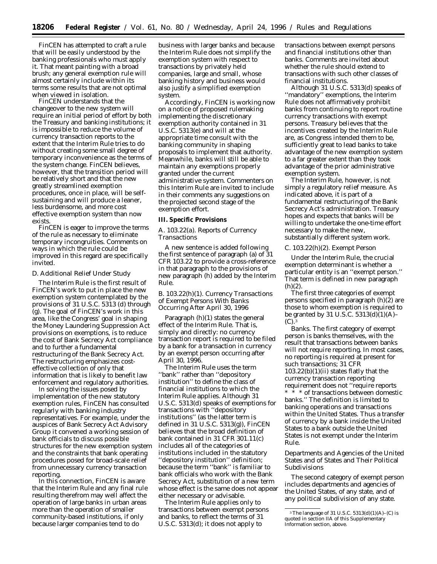FinCEN has attempted to craft a rule that will be easily understood by the banking professionals who must apply it. That meant painting with a broad brush; any general exemption rule will almost certainly include within its terms some results that are not optimal when viewed in isolation.

FinCEN understands that the changeover to the new system will require an initial period of effort by both the Treasury and banking institutions; it is impossible to reduce the volume of currency transaction reports to the extent that the Interim Rule tries to do without creating some small degree of temporary inconvenience as the terms of the system change. FinCEN believes, however, that the transition period will be relatively short and that the new greatly streamlined exemption procedures, once in place, will be selfsustaining and will produce a leaner, less burdensome, and more cost effective exemption system than now exists.

FinCEN is eager to improve the terms of the rule as necessary to eliminate temporary incongruities. Comments on ways in which the rule could be improved in this regard are specifically invited.

#### *D. Additional Relief Under Study*

The Interim Rule is the first result of FinCEN's work to put in place the new exemption system contemplated by the provisions of 31 U.S.C. 5313 (d) through (g). The goal of FinCEN's work in this area, like the Congress' goal in shaping the Money Laundering Suppression Act provisions on exemptions, is to reduce the cost of Bank Secrecy Act compliance and to further a fundamental restructuring of the Bank Secrecy Act. The restructuring emphasizes costeffective collection of only that information that is likely to benefit law enforcement and regulatory authorities.

In solving the issues posed by implementation of the new statutory exemption rules, FinCEN has consulted regularly with banking industry representatives. For example, under the auspices of Bank Secrecy Act Advisory Group it convened a working session of bank officials to discuss possible structures for the new exemption system and the constraints that bank operating procedures posed for broad-scale relief from unnecessary currency transaction reporting.

In this connection, FinCEN is aware that the Interim Rule and any final rule resulting therefrom may well affect the operation of large banks in urban areas more than the operation of smaller community-based institutions, if only because larger companies tend to do

business with larger banks and because the Interim Rule does not simplify the exemption system with respect to transactions by privately held companies, large and small, whose banking history and business would also justify a simplified exemption system.

Accordingly, FinCEN is working now on a notice of proposed rulemaking implementing the discretionary exemption authority contained in 31 U.S.C. 5313(e) and will at the appropriate time consult with the banking community in shaping proposals to implement that authority. Meanwhile, banks will still be able to maintain any exemptions properly granted under the current administrative system. Commenters on this Interim Rule are invited to include in their comments any suggestions on the projected second stage of the exemption effort.

#### **III. Specific Provisions**

#### *A. 103.22(a). Reports of Currency Transactions*

A new sentence is added following the first sentence of paragraph (a) of 31 CFR 103.22 to provide a cross-reference in that paragraph to the provisions of new paragraph (h) added by the Interim Rule.

#### *B. 103.22(h)(1). Currency Transactions of Exempt Persons With Banks Occurring After April 30, 1996*

Paragraph (h)(1) states the general effect of the Interim Rule. That is, simply and directly: no currency transaction report is required to be filed by a bank for a transaction in currency by an exempt person occurring after April 30, 1996.

The Interim Rule uses the term ''bank'' rather than ''depository institution'' to define the class of financial institutions to which the Interim Rule applies. Although 31 U.S.C. 5313(d) speaks of exemptions for transactions with ''depository institutions'' (as the latter term is defined in 31 U.S.C. 5313(g)), FinCEN believes that the broad definition of bank contained in 31 CFR 301.11(c) includes all of the categories of institutions included in the statutory ''depository institution'' definition; because the term ''bank'' is familiar to bank officials who work with the Bank Secrecy Act, substitution of a new term whose effect is the same does not appear either necessary or advisable.

The Interim Rule applies only to transactions between exempt persons and banks, to reflect the terms of 31 U.S.C. 5313(d); it does not apply to

transactions between exempt persons and financial institutions other than banks. Comments are invited about whether the rule should extend to transactions with such other classes of financial institutions.

Although 31 U.S.C. 5313(d) speaks of ''mandatory'' exemptions, the Interim Rule does not affirmatively prohibit banks from continuing to report routine currency transactions with exempt persons. Treasury believes that the incentives created by the Interim Rule are, as Congress intended them to be, sufficiently great to lead banks to take advantage of the new exemption system to a far greater extent than they took advantage of the prior administrative exemption system.

The Interim Rule, however, is not simply a regulatory relief measure. As indicated above, it is part of a fundamental restructuring of the Bank Secrecy Act's administration. Treasury hopes and expects that banks will be willing to undertake the one-time effort necessary to make the new, substantially different system work.

#### *C. 103.22(h)(2). Exempt Person*

Under the Interim Rule, the crucial exemption determinant is whether a particular entity is an ''exempt person.'' That term is defined in new paragraph (h)(2).

The first three categories of exempt persons specified in paragraph (h)(2) are those to whom exemption is required to be granted by 31 U.S.C.  $5313(d)(1)(A)$ –  $(C)$ .<sup>3</sup>

*Banks.* The first category of exempt person is banks themselves, with the result that transactions between banks will not require reporting. In most cases, no reporting is required at present for such transactions; 31 CFR  $103.22(b)(1)(ii)$  states flatly that the currency transaction reporting requirement does not ''require reports \* \* \* of transactions between domestic banks.'' The definition is limited to banking operations and transactions within the United States. Thus a transfer of currency by a bank inside the United States to a bank outside the United States is not exempt under the Interim Rule.

Departments and Agencies of the United States and of States and Their Political Subdivisions

The second category of exempt person includes departments and agencies of the United States, of any state, and of any political subdivision of any state.

<sup>3</sup>The language of 31 U.S.C. 5313(d)(1)(A)–(C) is quoted in section IIA of this Supplementary Information section, above.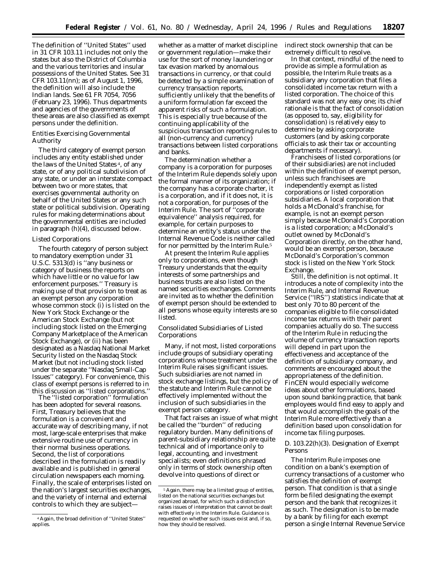The definition of ''United States'' used in 31 CFR 103.11 includes not only the states but also the District of Columbia and the various territories and insular possessions of the United States. *See* 31 CFR 103.11(nn); as of August 1, 1996, the definition will also include the Indian lands. *See* 61 FR 7054, 7056 (February 23, 1996). Thus departments and agencies of the governments of these areas are also classified as exempt persons under the definition.

#### Entities Exercising Governmental Authority

The third category of exempt person includes any entity established under the laws of the United States 4, of any state, or of any political subdivision of any state, or under an interstate compact between two or more states, that exercises governmental authority on behalf of the United States or any such state or political subdivision. Operating rules for making determinations about the governmental entities are included in paragraph (h)(4), discussed below.

#### Listed Corporations

The fourth category of person subject to mandatory exemption under 31 U.S.C. 5313(d) is ''any business or category of business the reports on which have little or no value for law enforcement purposes.'' Treasury is making use of that provision to treat as an exempt person any corporation whose common stock (i) is listed on the New York Stock Exchange or the American Stock Exchange (but not including stock listed on the Emerging Company Marketplace of the American Stock Exchange), or (ii) has been designated as a Nasdaq National Market Security listed on the Nasdaq Stock Market (but not including stock listed under the separate ''Nasdaq Small-Cap Issues'' category). For convenience, this class of exempt persons is referred to in this discussion as ''listed corporations.''

The ''listed corporation'' formulation has been adopted for several reasons. First, Treasury believes that the formulation is a convenient and accurate way of describing many, if not most, large-scale enterprises that make extensive routine use of currency in their normal business operations. Second, the list of corporations described in the formulation is readily available and is published in general circulation newspapers each morning. Finally, the scale of enterprises listed on the nation's largest securities exchanges, and the variety of internal and external controls to which they are subject—

whether as a matter of market discipline or government regulation—make their use for the sort of money laundering or tax evasion marked by anomalous transactions in currency, or that could be detected by a simple examination of currency transaction reports, sufficiently unlikely that the benefits of a uniform formulation far exceed the apparent risks of such a formulation. This is especially true because of the continuing applicability of the suspicious transaction reporting rules to all (non-currency *and* currency) transactions between listed corporations and banks.

The determination whether a company is a corporation for purposes of the Interim Rule depends solely upon the formal manner of its organization; if the company has a corporate charter, it is a corporation, and if it does not, it is not a corporation, for purposes of the Interim Rule. The sort of ''corporate equivalence'' analysis required, for example, for certain purposes to determine an entity's status under the Internal Revenue Code is neither called for nor permitted by the Interim Rule.5

At present the Interim Rule applies only to corporations, even though Treasury understands that the equity interests of some partnerships and business trusts are also listed on the named securities exchanges. Comments are invited as to whether the definition of exempt person should be extended to all persons whose equity interests are so listed.

#### Consolidated Subsidiaries of Listed Corporations

Many, if not most, listed corporations include groups of subsidiary operating corporations whose treatment under the Interim Rule raises significant issues. Such subsidiaries are not named in stock exchange listings, but the policy of the statute and Interim Rule cannot be effectively implemented without the inclusion of such subsidiaries in the exempt person category.

That fact raises an issue of what might be called the ''burden'' of *reducing* regulatory burden. Many definitions of parent-subsidiary relationship are quite technical and of importance only to legal, accounting, and investment specialists; even definitions phrased only in terms of stock ownership often devolve into questions of direct or

indirect stock ownership that can be extremely difficult to resolve.

In that context, mindful of the need to provide as simple a formulation as possible, the Interim Rule treats as a subsidiary any corporation that files a consolidated income tax return with a listed corporation. The choice of this standard was not any easy one; its chief rationale is that the fact of consolidation (as opposed to, say, eligibility for consolidation) is relatively easy to determine by asking corporate customers (and by asking corporate officials to ask their tax or accounting departments if necessary).

Franchisees of listed corporations (or of their subsidiaries) are not included within the definition of exempt person, unless such franchisees are independently exempt as listed corporations or listed corporation subsidiaries. A local corporation that holds a McDonald's franchise, for example, is not an exempt person simply because McDonald's Corporation is a listed corporation; a McDonald's outlet owned by McDonald's Corporation directly, on the other hand, would be an exempt person, because McDonald's Corporation's common stock is listed on the New York Stock Exchange.

Still, the definition is not optimal. It introduces a note of complexity into the Interim Rule, and Internal Revenue Service (''IRS'') statistics indicate that at best only 70 to 80 percent of the companies eligible to file consolidated income tax returns with their parent companies actually do so. The success of the Interim Rule in reducing the volume of currency transaction reports will depend in part upon the effectiveness and acceptance of the definition of subsidiary company, and comments are encouraged about the appropriateness of the definition. FinCEN would especially welcome ideas about other formulations, based upon sound banking practice, that bank employees would find easy to apply and that would accomplish the goals of the Interim Rule more effectively than a definition based upon consolidation for income tax filing purposes.

#### *D. 103.22(h)(3). Designation of Exempt Persons*

The Interim Rule imposes one condition on a bank's exemption of currency transactions of a customer who satisfies the definition of exempt person. That condition is that a single form be filed designating the exempt person and the bank that recognizes it as such. The designation is to be made by a bank by filing for each exempt person a single Internal Revenue Service

<sup>4</sup>Again, the broad definition of ''United States'' applies.

<sup>5</sup>Again, there may be a limited group of entities, listed on the national securities exchanges but organized abroad, for which such a distinction raises issues of interpretation that cannot be dealt with effectively in the Interim Rule. Guidance is requested on whether such issues exist and, if so, how they should be resolved.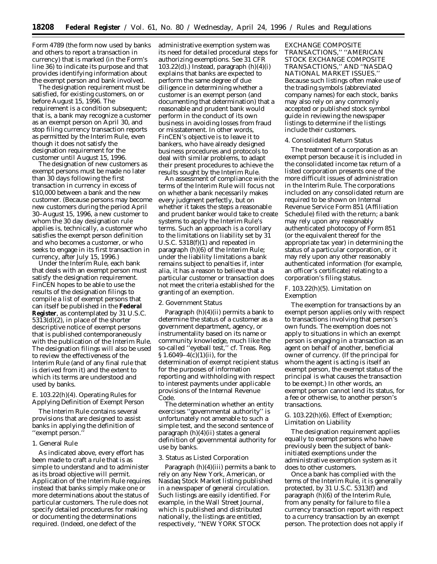Form 4789 (the form now used by banks and others to report a transaction in currency) that is marked (in the Form's line 36) to indicate its purpose and that provides identifying information about the exempt person and bank involved.

The designation requirement must be satisfied, for existing customers, on or before August 15, 1996. The requirement is a condition subsequent; that is, a bank may recognize a customer as an exempt person on April 30, and stop filing currency transaction reports as permitted by the Interim Rule, even though it does not satisfy the designation requirement for the customer until August 15, 1996.

The designation of new customers as exempt persons must be made no later than 30 days following the first transaction in currency in excess of \$10,000 between a bank and the new customer. (Because persons may become new customers during the period April 30–August 15, 1996, a new customer to whom the 30 day designation rule applies is, technically, a customer who satisfies the exempt person definition and who becomes a customer, or who seeks to engage in its first transaction in currency, after July 15, 1996.)

Under the Interim Rule, each bank that deals with an exempt person must satisfy the designation requirement. FinCEN hopes to be able to use the results of the designation filings to compile a list of exempt persons that can itself be published in the **Federal Register**, as contemplated by 31 U.S.C. 5313(d)(2), in place of the shorter descriptive notice of exempt persons that is published contemporaneously with the publication of the Interim Rule. The designation filings will also be used to review the effectiveness of the Interim Rule (and of any final rule that is derived from it) and the extent to which its terms are understood and used by banks.

#### *E. 103.22(h)(4). Operating Rules for Applying Definition of Exempt Person*

The Interim Rule contains several provisions that are designed to assist banks in applying the definition of ''exempt person.''

#### 1. General Rule

As indicated above, every effort has been made to craft a rule that is as simple to understand and to administer as its broad objective will permit. Application of the Interim Rule requires instead that banks simply make one or more determinations about the status of particular customers. The rule does not specify detailed procedures for making or documenting the determinations required. (Indeed, one defect of the

administrative exemption system was its need for detailed procedural steps for authorizing exemptions. *See* 31 CFR 103.22 $(d)$ .) Instead, paragraph  $(h)(4)(i)$ explains that banks are expected to perform the same degree of due diligence in determining whether a customer is an exempt person (and documenting that determination) that a reasonable and prudent bank would perform in the conduct of its own business in avoiding losses from fraud or misstatement. In other words, FinCEN's objective is to leave it to bankers, who have already designed business procedures and protocols to deal with similar problems, to adapt their present procedures to achieve the results sought by the Interim Rule.

An assessment of compliance with the terms of the Interim Rule will focus not on whether a bank necessarily makes every judgment perfectly, but on whether it takes the steps a reasonable and prudent banker would take to create systems to apply the Interim Rule's terms. Such an approach is a corollary to the limitations on liability set by 31 U.S.C. 5318(f)(1) and repeated in paragraph (h)(6) of the Interim Rule; under the liability limitations a bank remains subject to penalties if, *inter alia*, it has a reason to believe that a particular customer or transaction does not meet the criteria established for the granting of an exemption.

#### 2. Government Status

Paragraph (h)(4)(ii) permits a bank to determine the status of a customer as a government department, agency, or instrumentality based on its name or community knowledge, much like the so-called ''eyeball test,'' *cf*. Treas. Reg. § 1.6049–4(c)(1)(ii), for the determination of exempt recipient status for the purposes of information reporting and withholding with respect to interest payments under applicable provisions of the Internal Revenue Code.

The determination whether an entity exercises ''governmental authority'' is unfortunately not amenable to such a simple test, and the second sentence of paragraph (h)(4)(ii) states a general definition of governmental authority for use by banks.

#### 3. Status as Listed Corporation

Paragraph (h)(4)(iii) permits a bank to rely on any New York, American, or Nasdaq Stock Market listing published in a newspaper of general circulation. Such listings are easily identified. For example, in the Wall Street Journal, which is published and distributed nationally, the listings are entitled, respectively, ''NEW YORK STOCK

EXCHANGE COMPOSITE TRANSACTIONS,'' ''AMERICAN STOCK EXCHANGE COMPOSITE TRANSACTIONS,'' AND ''NASDAQ NATIONAL MARKET ISSUES.'' Because such listings often make use of the trading symbols (abbreviated company names) for each stock, banks may also rely on any commonly accepted or published stock symbol guide in reviewing the newspaper listings to determine if the listings include their customers.

#### 4. Consolidated Return Status

The treatment of a corporation as an exempt person because it is included in the consolidated income tax return of a listed corporation presents one of the more difficult issues of administration in the Interim Rule. The corporations included on any consolidated return are required to be shown on Internal Revenue Service Form 851 (Affiliation Schedule) filed with the return; a bank may rely upon any reasonably authenticated photocopy of Form 851 (or the equivalent thereof for the appropriate tax year) in determining the status of a particular corporation, or it may rely upon any other reasonably authenticated information (for example, an officer's certificate) relating to a corporation's filing status.

#### *F. 103.22(h)(5). Limitation on Exemption*

The exemption for transactions by an exempt person applies only with respect to transactions involving that person's own funds. The exemption does not apply to situations in which an exempt person is engaging in a transaction as an agent on behalf of another, beneficial owner of currency. (If the principal for whom the agent is acting is itself an exempt person, the exempt status of the principal is what causes the transaction to be exempt.) In other words, an exempt person cannot lend its status, for a fee or otherwise, to another person's transactions.

#### *G. 103.22(h)(6). Effect of Exemption; Limitation on Liability*

The designation requirement applies equally to exempt persons who have previously been the subject of bankinitiated exemptions under the administrative exemption system as it does to other customers.

Once a bank has complied with the terms of the Interim Rule, it is generally protected, by 31 U.S.C. 5313(f) and paragraph (h)(6) of the Interim Rule, from any penalty for failure to file a currency transaction report with respect to a currency transaction by an exempt person. The protection does not apply if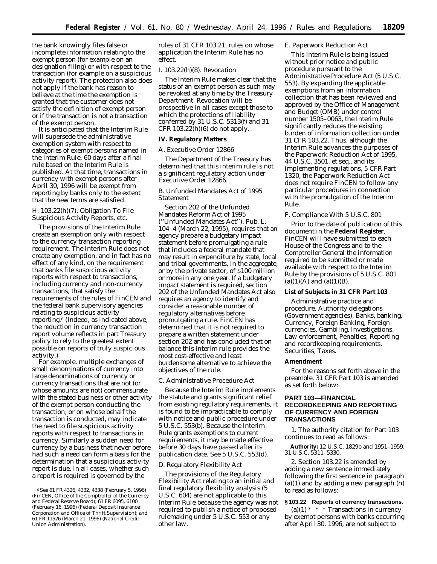the bank knowingly files false or incomplete information relating to the exempt person (for example on an designation filing) or with respect to the transaction (for example on a suspicious activity report). The protection also does not apply if the bank has reason to believe at the time the exemption is granted that the customer does not satisfy the definition of exempt person or if the transaction is not a transaction of the exempt person.

It is anticipated that the Interim Rule will supersede the administrative exemption system with respect to categories of exempt persons named in the Interim Rule, 60 days after a final rule based on the Interim Rule is published. At that time, transactions in currency with exempt persons after April 30, 1996 will be exempt from reporting by banks only to the extent that the new terms are satisfied.

#### *H. 103.22(h)(7). Obligation To File Suspicious Activity Reports, etc.*

The provisions of the Interim Rule create an exemption only with respect to the currency transaction reporting requirement. The Interim Rule does not create any exemption, and in fact has no effect of any kind, on the requirement that banks file suspicious activity reports with respect to transactions, including currency and non-currency transactions, that satisfy the requirements of the rules of FinCEN and the federal bank supervisory agencies relating to suspicious activity reporting.<sup>6</sup> (Indeed, as indicated above, the reduction in currency transaction report volume reflects in part Treasury policy to rely to the greatest extent possible on reports of truly suspicious activity.)

For example, multiple exchanges of small denominations of currency into large denominations of currency or currency transactions that are not (or whose amounts are not) commensurate with the stated business or other activity of the exempt person conducting the transaction, or on whose behalf the transaction is conducted, may indicate the need to file suspicious activity reports with respect to transactions in currency. Similarly a sudden need for currency by a business that never before had such a need can form a basis for the determination that a suspicious activity report is due. In all cases, whether such a report is required is governed by the

rules of 31 CFR 103.21, rules on whose application the Interim Rule has no effect.

#### *I. 103.22(h)(8). Revocation*

The Interim Rule makes clear that the status of an exempt person as such may be revoked at any time by the Treasury Department. Revocation will be prospective in all cases except those to which the protections of liability conferred by 31 U.S.C. 5313(f) and 31 CFR  $103.22(h)(6)$  do not apply.

#### **IV. Regulatory Matters**

#### *A. Executive Order 12866*

The Department of the Treasury has determined that this interim rule is not a significant regulatory action under Executive Order 12866.

#### *B. Unfunded Mandates Act of 1995 Statement*

Section 202 of the Unfunded Mandates Reform Act of 1995 (''Unfunded Mandates Act''), Pub. L. 104–4 (March 22, 1995), requires that an agency prepare a budgetary impact statement before promulgating a rule that includes a federal mandate that may result in expenditure by state, local and tribal governments, in the aggregate, or by the private sector, of \$100 million or more in any one year. If a budgetary impact statement is required, section 202 of the Unfunded Mandates Act also requires an agency to identify and consider a reasonable number of regulatory alternatives before promulgating a rule. FinCEN has determined that it is not required to prepare a written statement under section 202 and has concluded that on balance this interim rule provides the most cost-effective and least burdensome alternative to achieve the objectives of the rule.

#### *C. Administrative Procedure Act*

Because the Interim Rule implements the statute and grants significant relief from existing regulatory requirements, it is found to be impracticable to comply with notice and public procedure under 5 U.S.C. 553(b). Because the Interim Rule grants exemptions to current requirements, it may be made effective before 30 days have passed after its publication date. *See* 5 U.S.C. 553(d).

#### *D. Regulatory Flexibility Act*

The provisions of the Regulatory Flexibility Act relating to an initial and final regulatory flexibility analysis (5 U.S.C. 604) are not applicable to this Interim Rule because the agency was not required to publish a notice of proposed rulemaking under 5 U.S.C. 553 or any other law.

#### *E. Paperwork Reduction Act*

This Interim Rule is being issued without prior notice and public procedure pursuant to the Administrative Procedure Act (5 U.S.C. 553). By expanding the applicable exemptions from an information collection that has been reviewed and approved by the Office of Management and Budget (OMB) under control number 1505–0063, the Interim Rule significantly reduces the existing burden of information collection under 31 CFR 103.22. Thus, although the Interim Rule advances the purposes of the Paperwork Reduction Act of 1995, 44 U.S.C. 3501, *et seq.,* and its implementing regulations, 5 CFR Part 1320, the Paperwork Reduction Act does not require FinCEN to follow any particular procedures in connection with the promulgation of the Interim Rule.

#### *F. Compliance With 5 U.S.C. 801*

Prior to the date of publication of this document in the **Federal Register**, FinCEN will have submitted to each House of the Congress and to the Comptroller General the information required to be submitted or made available with respect to the Interim Rule by the provisions of 5 U.S.C. 801  $(a)(1)(A)$  and  $(a)(1)(B)$ .

#### **List of Subjects in 31 CFR Part 103**

Administrative practice and procedure, Authority delegations (Government agencies), Banks, banking, Currency, Foreign Banking, Foreign currencies, Gambling, Investigations, Law enforcement, Penalties, Reporting and recordkeeping requirements, Securities, Taxes.

#### **Amendment**

For the reasons set forth above in the preamble, 31 CFR Part 103 is amended as set forth below:

#### **PART 103—FINANCIAL RECORDKEEPING AND REPORTING OF CURRENCY AND FOREIGN TRANSACTIONS**

1. The authority citation for Part 103 continues to read as follows:

**Authority:** 12 U.S.C. 1829b and 1951–1959; 31 U.S.C. 5311–5330.

2. Section 103.22 is amended by adding a new sentence immediately following the first sentence in paragraph  $(a)(1)$  and by adding a new paragraph  $(h)$ to read as follows:

#### **§ 103.22 Reports of currency transactions.**

(a)(1)  $* * *$  Transactions in currency by exempt persons with banks occurring after April 30, 1996, are not subject to

<sup>6</sup>*See* 61 FR 4326, 4332, 4338 (February 5, 1996) (FinCEN, Office of the Comptroller of the Currency and Federal Reserve Board); 61 FR 6095, 6100 (February 16, 1996) (Federal Deposit Insurance Corporation and Office of Thrift Supervision); and 61 FR 11526 (March 21, 1996) (National Credit Union Administration).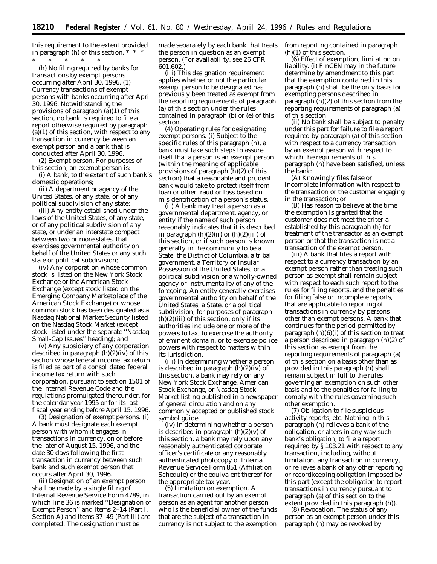this requirement to the extent provided in paragraph (h) of this section. \* \* \* \* \* \* \* \*

(h) *No filing required by banks for transactions by exempt persons occurring after April 30, 1996.* (1) *Currency transactions of exempt persons with banks occurring after April 30, 1996.* Notwithstanding the provisions of paragraph (a)(1) of this section, no bank is required to file a report otherwise required by paragraph  $(a)(1)$  of this section, with respect to any transaction in currency between an exempt person and a bank that is conducted after April 30, 1996.

(2) *Exempt person.* For purposes of this section, an exempt person is:

(i) A bank, to the extent of such bank's domestic operations;

(ii) A department or agency of the United States, of any state, or of any political subdivision of any state;

(iii) Any entity established under the laws of the United States, of any state, or of any political subdivision of any state, or under an interstate compact between two or more states, that exercises governmental authority on behalf of the United States or any such state or political subdivision;

(iv) Any corporation whose common stock is listed on the New York Stock Exchange or the American Stock Exchange (except stock listed on the Emerging Company Marketplace of the American Stock Exchange) or whose common stock has been designated as a Nasdaq National Market Security listed on the Nasdaq Stock Market (except stock listed under the separate ''Nasdaq Small-Cap Issues'' heading); and

(v) Any subsidiary of any corporation described in paragraph (h)(2)(iv) of this section whose federal income tax return is filed as part of a consolidated federal income tax return with such corporation, pursuant to section 1501 of the Internal Revenue Code and the regulations promulgated thereunder, for the calendar year 1995 or for its last fiscal year ending before April 15, 1996.

(3) *Designation of exempt persons.* (i) A bank must designate each exempt person with whom it engages in transactions in currency, on or before the later of August 15, 1996, and the date 30 days following the first transaction in currency between such bank and such exempt person that occurs after April 30, 1996.

(ii) Designation of an exempt person shall be made by a single filing of Internal Revenue Service Form 4789, in which line 36 is marked ''Designation of Exempt Person'' and items 2–14 (Part I, Section A) and items 37–49 (Part III) are completed. The designation must be

made separately by each bank that treats the person in question as an exempt person. (For availability, see 26 CFR 601.602.)

(iii) This designation requirement applies whether or not the particular exempt person to be designated has previously been treated as exempt from the reporting requirements of paragraph (a) of this section under the rules contained in paragraph (b) or (e) of this section.

(4) *Operating rules for designating exempt persons.* (i) Subject to the specific rules of this paragraph (h), a bank must take such steps to assure itself that a person is an exempt person (within the meaning of applicable provisions of paragraph (h)(2) of this section) that a reasonable and prudent bank would take to protect itself from loan or other fraud or loss based on misidentification of a person's status.

(ii) A bank may treat a person as a governmental department, agency, or entity if the name of such person reasonably indicates that it is described in paragraph  $(h)(2)(ii)$  or  $(h)(2)(iii)$  of this section, or if such person is known generally in the community to be a State, the District of Columbia, a tribal government, a Territory or Insular Possession of the United States, or a political subdivision or a wholly-owned agency or instrumentality of any of the foregoing. An entity generally exercises governmental authority on behalf of the United States, a State, or a political subdivision, for purposes of paragraph  $(h)(2)(iii)$  of this section, only if its authorities include one or more of the powers to tax, to exercise the authority of eminent domain, or to exercise police powers with respect to matters within its jurisdiction.

(iii) In determining whether a person is described in paragraph (h)(2)(iv) of this section, a bank may rely on any New York Stock Exchange, American Stock Exchange, or Nasdaq Stock Market listing published in a newspaper of general circulation and on any commonly accepted or published stock symbol guide.

(iv) In determining whether a person is described in paragraph (h)(2)(v) of this section, a bank may rely upon any reasonably authenticated corporate officer's certificate or any reasonably authenticated photocopy of Internal Revenue Service Form 851 (Affiliation Schedule) or the equivalent thereof for the appropriate tax year.

(5) *Limitation on exemption.* A transaction carried out by an exempt person as an agent for another person who is the beneficial owner of the funds that are the subject of a transaction in currency is not subject to the exemption from reporting contained in paragraph (h)(1) of this section.

(6) *Effect of exemption; limitation on liability.* (i) FinCEN may in the future determine by amendment to this part that the exemption contained in this paragraph (h) shall be the only basis for exempting persons described in paragraph (h)(2) of this section from the reporting requirements of paragraph (a) of this section.

(ii) No bank shall be subject to penalty under this part for failure to file a report required by paragraph (a) of this section with respect to a currency transaction by an exempt person with respect to which the requirements of this paragraph (h) have been satisfied, unless the bank:

(A) Knowingly files false or incomplete information with respect to the transaction or the customer engaging in the transaction; or

(B) Has reason to believe at the time the exemption is granted that the customer does not meet the criteria established by this paragraph (h) for treatment of the transactor as an exempt person or that the transaction is not a transaction of the exempt person.

(iii) A bank that files a report with respect to a currency transaction by an exempt person rather than treating such person as exempt shall remain subject with respect to each such report to the rules for filing reports, and the penalties for filing false or incomplete reports, that are applicable to reporting of transactions in currency by persons other than exempt persons. A bank that continues for the period permitted by paragraph  $(h)(6)(i)$  of this section to treat a person described in paragraph (h)(2) of this section as exempt from the reporting requirements of paragraph (a) of this section on a basis other than as provided in this paragraph (h) shall remain subject in full to the rules governing an exemption on such other basis and to the penalties for failing to comply with the rules governing such other exemption.

(7) *Obligation to file suspicious activity reports, etc.* Nothing in this paragraph (h) relieves a bank of the obligation, or alters in any way such bank's obligation, to file a report required by § 103.21 with respect to any transaction, including, without limitation, any transaction in currency, or relieves a bank of any other reporting or recordkeeping obligation imposed by this part (except the obligation to report transactions in currency pursuant to paragraph (a) of this section to the extent provided in this paragraph (h)).

(8) *Revocation.* The status of any person as an exempt person under this paragraph (h) may be revoked by